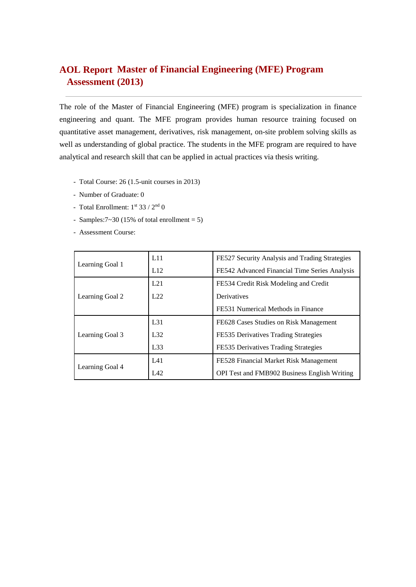# **Master of Financial Engineering (MFE) Program AOL ReportAssessment (2013)**

The role of the Master of Financial Engineering (MFE) program is specialization in finance engineering and quant. The MFE program provides human resource training focused on quantitative asset management, derivatives, risk management, on-site problem solving skills as well as understanding of global practice. The students in the MFE program are required to have analytical and research skill that can be applied in actual practices via thesis writing.

- Total Course: 26 (1.5-unit courses in 2013)
- Number of Graduate: 0
- Total Enrollment:  $1<sup>st</sup> 33 / 2<sup>nd</sup> 0$
- Samples: $7 \times 30$  (15% of total enrollment = 5)
- Assessment Course:

|                 | L11             | FE527 Security Analysis and Trading Strategies      |  |  |  |  |
|-----------------|-----------------|-----------------------------------------------------|--|--|--|--|
| Learning Goal 1 | L12             | FE542 Advanced Financial Time Series Analysis       |  |  |  |  |
|                 | L21             | FE534 Credit Risk Modeling and Credit               |  |  |  |  |
| Learning Goal 2 | L22             | Derivatives                                         |  |  |  |  |
|                 |                 | FE531 Numerical Methods in Finance                  |  |  |  |  |
|                 | L <sub>31</sub> | FE628 Cases Studies on Risk Management              |  |  |  |  |
| Learning Goal 3 | L32             | FE535 Derivatives Trading Strategies                |  |  |  |  |
|                 | L33             | FE535 Derivatives Trading Strategies                |  |  |  |  |
|                 | L41             | FE528 Financial Market Risk Management              |  |  |  |  |
| Learning Goal 4 | LA2             | <b>OPI Test and FMB902 Business English Writing</b> |  |  |  |  |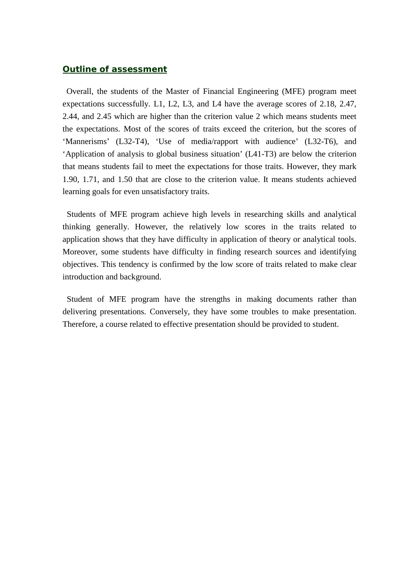### *Outline of assessment*

Overall, the students of the Master of Financial Engineering (MFE) program meet expectations successfully. L1, L2, L3, and L4 have the average scores of 2.18, 2.47, 2.44, and 2.45 which are higher than the criterion value 2 which means students meet the expectations. Most of the scores of traits exceed the criterion, but the scores of 'Mannerisms' (L32-T4), 'Use of media/rapport with audience' (L32-T6), and 'Application of analysis to global business situation' (L41-T3) are below the criterion that means students fail to meet the expectations for those traits. However, they mark 1.90, 1.71, and 1.50 that are close to the criterion value. It means students achieved learning goals for even unsatisfactory traits.

Students of MFE program achieve high levels in researching skills and analytical thinking generally. However, the relatively low scores in the traits related to application shows that they have difficulty in application of theory or analytical tools. Moreover, some students have difficulty in finding research sources and identifying objectives. This tendency is confirmed by the low score of traits related to make clear introduction and background.

Student of MFE program have the strengths in making documents rather than delivering presentations. Conversely, they have some troubles to make presentation. Therefore, a course related to effective presentation should be provided to student.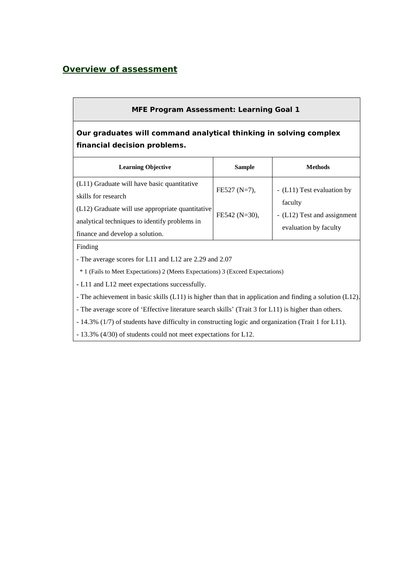### *Overview of assessment*

### **MFE Program Assessment: Learning Goal 1**

# **Our graduates will command analytical thinking in solving complex financial decision problems.**

| <b>Learning Objective</b>                                                                                                                                                                                  | <b>Sample</b>                    | Methods                                                                                       |
|------------------------------------------------------------------------------------------------------------------------------------------------------------------------------------------------------------|----------------------------------|-----------------------------------------------------------------------------------------------|
| (L11) Graduate will have basic quantitative<br>skills for research<br>(L12) Graduate will use appropriate quantitative<br>analytical techniques to identify problems in<br>finance and develop a solution. | FE527 (N=7),<br>$FE542 (N=30)$ , | - (L11) Test evaluation by<br>faculty<br>- (L12) Test and assignment<br>evaluation by faculty |

#### Finding

- The average scores for L11 and L12 are 2.29 and 2.07

\* 1 (Fails to Meet Expectations) 2 (Meets Expectations) 3 (Exceed Expectations)

**-** L11 and L12 meet expectations successfully.

- The achievement in basic skills (L11) is higher than that in application and finding a solution (L12).

- The average score of 'Effective literature search skills' (Trait 3 for L11) is higher than others.

- 14.3% (1/7) of students have difficulty in constructing logic and organization (Trait 1 for L11).

- 13.3% (4/30) of students could not meet expectations for L12.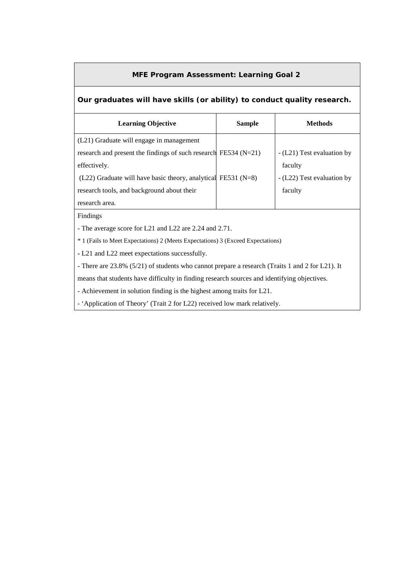#### **MFE Program Assessment: Learning Goal 2**

#### **Our graduates will have skills (or ability) to conduct quality research.**

| <b>Learning Objective</b>                                         | <b>Sample</b> | <b>Methods</b>             |
|-------------------------------------------------------------------|---------------|----------------------------|
| (L21) Graduate will engage in management                          |               |                            |
| research and present the findings of such research FE534 $(N=21)$ |               | - (L21) Test evaluation by |
| effectively.                                                      |               | faculty                    |
| $(L22)$ Graduate will have basic theory, analytical FE531 (N=8)   |               | - (L22) Test evaluation by |
| research tools, and background about their                        |               | faculty                    |
| research area.                                                    |               |                            |

Findings

- The average score for L21 and L22 are 2.24 and 2.71.

\* 1 (Fails to Meet Expectations) 2 (Meets Expectations) 3 (Exceed Expectations)

**-** L21 and L22 meet expectations successfully.

- There are 23.8% (5/21) of students who cannot prepare a research (Traits 1 and 2 for L21). It

means that students have difficulty in finding research sources and identifying objectives.

- Achievement in solution finding is the highest among traits for L21.

- 'Application of Theory' (Trait 2 for L22) received low mark relatively.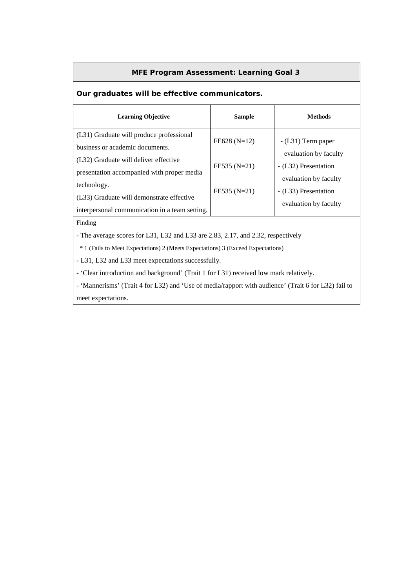#### **MFE Program Assessment: Learning Goal 3**

## **Our graduates will be effective communicators.**

| <b>Learning Objective</b>                                                                                  | <b>Sample</b>  | <b>Methods</b>                                                         |
|------------------------------------------------------------------------------------------------------------|----------------|------------------------------------------------------------------------|
| (L31) Graduate will produce professional<br>business or academic documents.                                | $FE628 (N=12)$ | $-L31$ ) Term paper                                                    |
| (L32) Graduate will deliver effective<br>presentation accompanied with proper media                        | FE535 (N=21)   | evaluation by faculty<br>- (L32) Presentation<br>evaluation by faculty |
| technology.<br>(L33) Graduate will demonstrate effective<br>interpersonal communication in a team setting. | $FE535 (N=21)$ | - (L33) Presentation<br>evaluation by faculty                          |

Finding

- The average scores for L31, L32 and L33 are 2.83, 2.17, and 2.32, respectively

\* 1 (Fails to Meet Expectations) 2 (Meets Expectations) 3 (Exceed Expectations)

**-** L31, L32 and L33 meet expectations successfully.

- 'Clear introduction and background' (Trait 1 for L31) received low mark relatively.

- 'Mannerisms' (Trait 4 for L32) and 'Use of media/rapport with audience' (Trait 6 for L32) fail to meet expectations.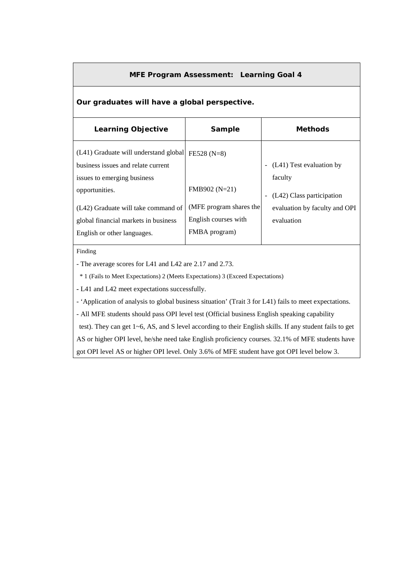#### **MFE Program Assessment: Learning Goal 4**

#### **Our graduates will have a global perspective.**

| <b>Learning Objective</b>                                                                                  | Sample                                          | <b>Methods</b>                        |
|------------------------------------------------------------------------------------------------------------|-------------------------------------------------|---------------------------------------|
| (L41) Graduate will understand global<br>business issues and relate current<br>issues to emerging business | $FE528 (N=8)$                                   | - (L41) Test evaluation by<br>faculty |
| opportunities.                                                                                             | FMB902 (N=21)                                   | (L42) Class participation             |
| (L42) Graduate will take command of                                                                        | (MFE program shares the<br>English courses with | evaluation by faculty and OPI         |
| global financial markets in business<br>English or other languages.                                        | FMBA program)                                   | evaluation                            |

#### Finding

- The average scores for L41 and L42 are 2.17 and 2.73.

\* 1 (Fails to Meet Expectations) 2 (Meets Expectations) 3 (Exceed Expectations)

**-** L41 and L42 meet expectations successfully.

- 'Application of analysis to global business situation' (Trait 3 for L41) fails to meet expectations.

- All MFE students should pass OPI level test (Official business English speaking capability

test). They can get 1~6, AS, and S level according to their English skills. If any student fails to get

AS or higher OPI level, he/she need take English proficiency courses. 32.1% of MFE students have

got OPI level AS or higher OPI level. Only 3.6% of MFE student have got OPI level below 3.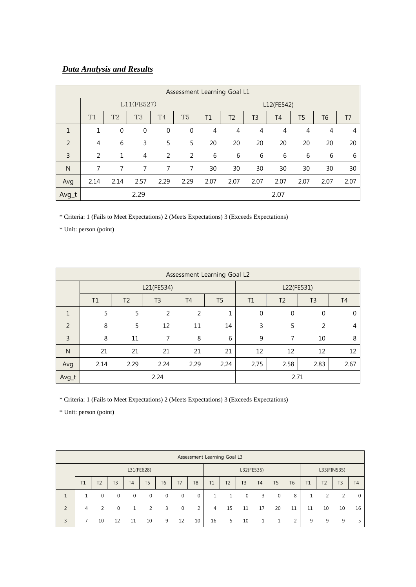## *Data Analysis and Results*

|               | Assessment Learning Goal L1 |                |                |                  |                |                |                |                |                |                |      |                |
|---------------|-----------------------------|----------------|----------------|------------------|----------------|----------------|----------------|----------------|----------------|----------------|------|----------------|
|               |                             |                | L11(FE527)     |                  |                |                |                |                | L12(FE542)     |                |      |                |
|               | T1                          | T <sub>2</sub> | T <sub>3</sub> | T <sub>4</sub>   | T <sub>5</sub> | T1             | T <sub>2</sub> | T <sub>3</sub> | T <sub>4</sub> | T5             | T6   | T <sub>7</sub> |
| 1             | 1                           | $\mathbf 0$    | $\mathbf 0$    | $\boldsymbol{0}$ | $\mathbf 0$    | $\overline{4}$ | 4              | 4              | 4              | $\overline{4}$ | 4    | 4              |
| $\mathcal{P}$ | 4                           | 6              | 3              | 5                | 5              | 20             | 20             | 20             | 20             | 20             | 20   | 20             |
| 3             | 2                           | 1              | $\overline{4}$ | 2                | $\overline{2}$ | 6              | 6              | 6              | 6              | 6              | 6    | 6              |
| N             | 7                           | 7              | 7              | 7                | 7              | 30             | 30             | 30             | 30             | 30             | 30   | 30             |
| Avg           | 2.14                        | 2.14           | 2.57           | 2.29             | 2.29           | 2.07           | 2.07           | 2.07           | 2.07           | 2.07           | 2.07 | 2.07           |
| Avg_t         |                             |                |                | 2.07             |                |                |                |                |                |                |      |                |

\* Criteria: 1 (Fails to Meet Expectations) 2 (Meets Expectations) 3 (Exceeds Expectations)

\* Unit: person (point)

|       | Assessment Learning Goal L2 |                |                |                |                |              |                |                |                |  |  |  |  |
|-------|-----------------------------|----------------|----------------|----------------|----------------|--------------|----------------|----------------|----------------|--|--|--|--|
|       |                             |                | L21(FE534)     |                |                | L22(FE531)   |                |                |                |  |  |  |  |
|       | T1                          | T <sub>2</sub> | T <sub>3</sub> | T <sub>4</sub> | T <sub>5</sub> | T1           | T <sub>2</sub> | T <sub>3</sub> | T <sub>4</sub> |  |  |  |  |
| 1     | 5                           | 5              | 2              | 2              | 1              | $\mathbf{0}$ | $\mathbf 0$    | $\mathbf 0$    | 0              |  |  |  |  |
| 2     | 8                           | 5              | 12             | 11             | 14             | 3            | 5              | 2              | 4              |  |  |  |  |
| 3     | 8                           | 11             | 7              | 8              | 6              | 9            | 7              | 10             | 8              |  |  |  |  |
| N     | 21                          | 21             | 21             | 21             | 21             | 12           | 12             | 12             | 12             |  |  |  |  |
| Avg   | 2.14                        | 2.29           | 2.24           | 2.29           | 2.24           | 2.75         | 2.58           | 2.83           | 2.67           |  |  |  |  |
| Avg_t |                             |                | 2.24           | 2.71           |                |              |                |                |                |  |  |  |  |

\* Criteria: 1 (Fails to Meet Expectations) 2 (Meets Expectations) 3 (Exceeds Expectations)

\* Unit: person (point)

|   | Assessment Learning Goal L3 |                |                |                |                |                |             |                |                |                |                |    |                |                |              |                |                |                |
|---|-----------------------------|----------------|----------------|----------------|----------------|----------------|-------------|----------------|----------------|----------------|----------------|----|----------------|----------------|--------------|----------------|----------------|----------------|
|   | L31(FE628)                  |                |                |                |                |                |             |                | L32(FE535)     |                |                |    | L33(FIN535)    |                |              |                |                |                |
|   | T1                          | T <sub>2</sub> | T <sub>3</sub> | T <sub>4</sub> | T <sub>5</sub> | T <sub>6</sub> | T7          | T <sub>8</sub> | T1             | T <sub>2</sub> | T <sub>3</sub> | T4 | T <sub>5</sub> | T <sub>6</sub> | T1           | T <sub>2</sub> | T <sub>3</sub> | T <sub>4</sub> |
|   | $\mathbf{1}$                | 0              | $\mathbf 0$    | $\mathbf{0}$   | $\mathbf 0$    | $\mathbf 0$    | $\mathbf 0$ | 0              | $\mathbf{1}$   |                | $\overline{0}$ | 3  | $\mathbf{0}$   | 8              | $\mathbf{1}$ | $\overline{2}$ | $\overline{2}$ | $\mathbf 0$    |
| 2 | $\overline{4}$              | $\overline{2}$ | $\Omega$       |                | 2              | 3              | $\mathbf 0$ | 2              | $\overline{4}$ | 15             | 11             | 17 | 20             | 11             | 11           | 10             | 10             | 16             |
| 3 |                             | 10             | 12             | 11             | 10             | 9              | 12          | 10             | 16             | 5              | 10             |    |                | 2              | 9            | 9              | 9              | 5              |